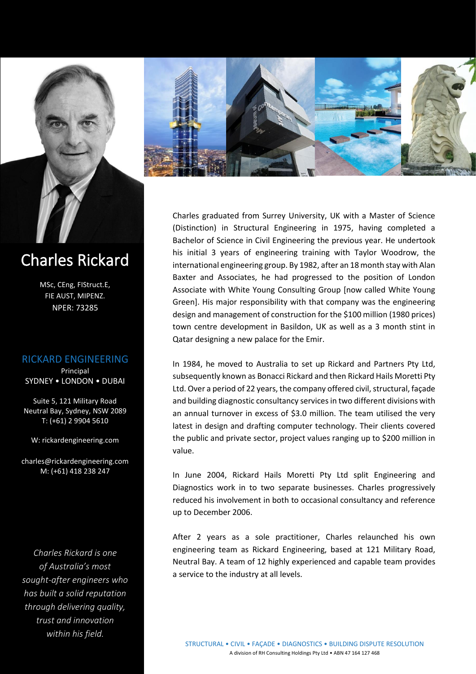

# Charles Rickard

MSc, CEng, FIStruct.E, FIE AUST, MIPENZ. NPER: 73285

#### RICKARD ENGINEERING

Principal SYDNEY • LONDON • DUBAI

Suite 5, 121 Military Road Neutral Bay, Sydney, NSW 2089 T: (+61) 2 9904 5610

W: rickardengineering.com

[charles@rickardengineering.com](mailto:charles@rickardengineering.com) M: (+61) 418 238 247

*Charles Rickard is one of Australia's most sought-after engineers who has built a solid reputation through delivering quality, trust and innovation within his field.*



Charles graduated from Surrey University, UK with a Master of Science (Distinction) in Structural Engineering in 1975, having completed a Bachelor of Science in Civil Engineering the previous year. He undertook his initial 3 years of engineering training with Taylor Woodrow, the international engineering group. By 1982, after an 18 month stay with Alan Baxter and Associates, he had progressed to the position of London Associate with White Young Consulting Group [now called White Young Green]. His major responsibility with that company was the engineering design and management of construction for the \$100 million (1980 prices) town centre development in Basildon, UK as well as a 3 month stint in Qatar designing a new palace for the Emir.

In 1984, he moved to Australia to set up Rickard and Partners Pty Ltd, subsequently known as Bonacci Rickard and then Rickard Hails Moretti Pty Ltd. Over a period of 22 years, the company offered civil, structural, façade and building diagnostic consultancy services in two different divisions with an annual turnover in excess of \$3.0 million. The team utilised the very latest in design and drafting computer technology. Their clients covered the public and private sector, project values ranging up to \$200 million in value.

In June 2004, Rickard Hails Moretti Pty Ltd split Engineering and Diagnostics work in to two separate businesses. Charles progressively reduced his involvement in both to occasional consultancy and reference up to December 2006.

After 2 years as a sole practitioner, Charles relaunched his own engineering team as Rickard Engineering, based at 121 Military Road, Neutral Bay. A team of 12 highly experienced and capable team provides a service to the industry at all levels.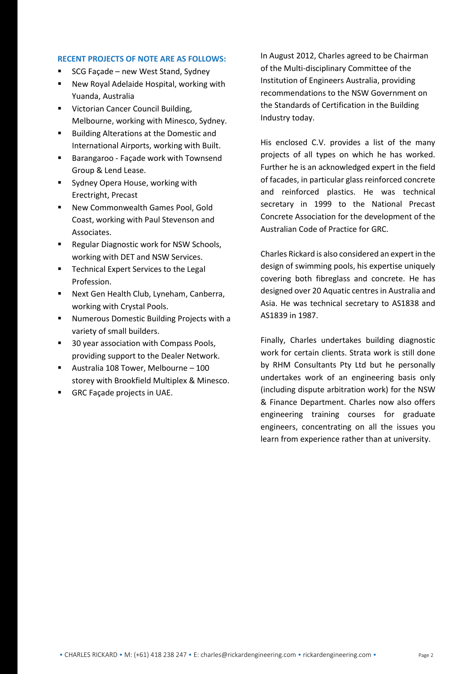#### **RECENT PROJECTS OF NOTE ARE AS FOLLOWS:**

- SCG Facade new West Stand, Sydney
- New Royal Adelaide Hospital, working with Yuanda, Australia
- Victorian Cancer Council Building, Melbourne, working with Minesco, Sydney.
- Building Alterations at the Domestic and International Airports, working with Built.
- Barangaroo Façade work with Townsend Group & Lend Lease.
- Sydney Opera House, working with Erectright, Precast
- New Commonwealth Games Pool, Gold Coast, working with Paul Stevenson and Associates.
- Regular Diagnostic work for NSW Schools, working with DET and NSW Services.
- Technical Expert Services to the Legal Profession.
- Next Gen Health Club, Lyneham, Canberra, working with Crystal Pools.
- Numerous Domestic Building Projects with a variety of small builders.
- 30 year association with Compass Pools, providing support to the Dealer Network.
- Australia 108 Tower, Melbourne 100 storey with Brookfield Multiplex & Minesco.
- GRC Façade projects in UAE.

In August 2012, Charles agreed to be Chairman of the Multi-disciplinary Committee of the Institution of Engineers Australia, providing recommendations to the NSW Government on the Standards of Certification in the Building Industry today.

His enclosed C.V. provides a list of the many projects of all types on which he has worked. Further he is an acknowledged expert in the field of facades, in particular glass reinforced concrete and reinforced plastics. He was technical secretary in 1999 to the National Precast Concrete Association for the development of the Australian Code of Practice for GRC.

Charles Rickard is also considered an expert in the design of swimming pools, his expertise uniquely covering both fibreglass and concrete. He has designed over 20 Aquatic centres in Australia and Asia. He was technical secretary to AS1838 and AS1839 in 1987.

Finally, Charles undertakes building diagnostic work for certain clients. Strata work is still done by RHM Consultants Pty Ltd but he personally undertakes work of an engineering basis only (including dispute arbitration work) for the NSW & Finance Department. Charles now also offers engineering training courses for graduate engineers, concentrating on all the issues you learn from experience rather than at university.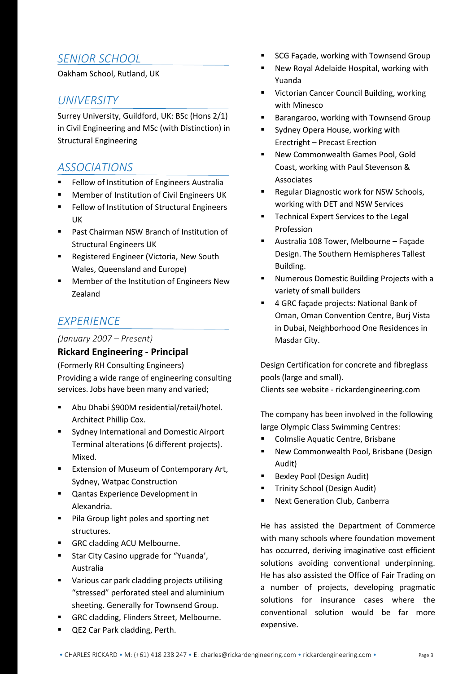# *SENIOR SCHOOL*

Oakham School, Rutland, UK

### *UNIVERSITY*

Surrey University, Guildford, UK: BSc (Hons 2/1) in Civil Engineering and MSc (with Distinction) in Structural Engineering

## *ASSOCIATIONS*

- Fellow of Institution of Engineers Australia
- Member of Institution of Civil Engineers UK
- Fellow of Institution of Structural Engineers UK
- Past Chairman NSW Branch of Institution of Structural Engineers UK
- Registered Engineer (Victoria, New South Wales, Queensland and Europe)
- Member of the Institution of Engineers New Zealand

# *EXPERIENCE*

#### *(January 2007 – Present)*

### **Rickard Engineering - Principal**

(Formerly RH Consulting Engineers) Providing a wide range of engineering consulting services. Jobs have been many and varied;

- Abu Dhabi \$900M residential/retail/hotel. Architect Phillip Cox.
- Sydney International and Domestic Airport Terminal alterations (6 different projects). Mixed.
- Extension of Museum of Contemporary Art, Sydney, Watpac Construction
- Qantas Experience Development in Alexandria.
- Pila Group light poles and sporting net structures.
- GRC cladding ACU Melbourne.
- Star City Casino upgrade for "Yuanda', Australia
- Various car park cladding projects utilising "stressed" perforated steel and aluminium sheeting. Generally for Townsend Group.
- GRC cladding, Flinders Street, Melbourne.
- QE2 Car Park cladding, Perth.
- SCG Façade, working with Townsend Group
- New Royal Adelaide Hospital, working with Yuanda
- Victorian Cancer Council Building, working with Minesco
- Barangaroo, working with Townsend Group
- Sydney Opera House, working with Erectright – Precast Erection
- New Commonwealth Games Pool, Gold Coast, working with Paul Stevenson & Associates
- Regular Diagnostic work for NSW Schools, working with DET and NSW Services
- Technical Expert Services to the Legal Profession
- Australia 108 Tower, Melbourne Façade Design. The Southern Hemispheres Tallest Building.
- Numerous Domestic Building Projects with a variety of small builders
- 4 GRC façade projects: National Bank of Oman, Oman Convention Centre, Burj Vista in Dubai, Neighborhood One Residences in Masdar City.

Design Certification for concrete and fibreglass pools (large and small). Clients see website - rickardengineering.com

The company has been involved in the following large Olympic Class Swimming Centres:

- Colmslie Aquatic Centre, Brisbane
- New Commonwealth Pool, Brisbane (Design Audit)
- **Bexley Pool (Design Audit)**
- Trinity School (Design Audit)
- Next Generation Club, Canberra

He has assisted the Department of Commerce with many schools where foundation movement has occurred, deriving imaginative cost efficient solutions avoiding conventional underpinning. He has also assisted the Office of Fair Trading on a number of projects, developing pragmatic solutions for insurance cases where the conventional solution would be far more expensive.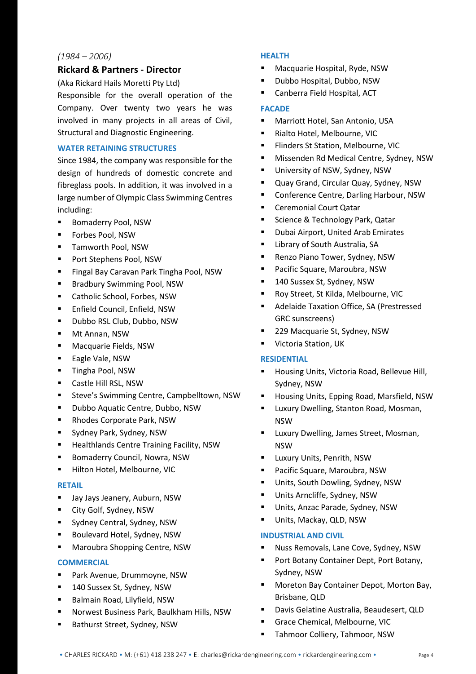#### *(1984 – 2006)*

#### **Rickard & Partners - Director**

(Aka Rickard Hails Moretti Pty Ltd)

Responsible for the overall operation of the Company. Over twenty two years he was involved in many projects in all areas of Civil, Structural and Diagnostic Engineering.

#### **WATER RETAINING STRUCTURES**

Since 1984, the company was responsible for the design of hundreds of domestic concrete and fibreglass pools. In addition, it was involved in a large number of Olympic Class Swimming Centres including:

- Bomaderry Pool, NSW
- Forbes Pool, NSW
- Tamworth Pool, NSW
- Port Stephens Pool, NSW
- Fingal Bay Caravan Park Tingha Pool, NSW
- Bradbury Swimming Pool, NSW
- Catholic School, Forbes, NSW
- Enfield Council, Enfield, NSW
- Dubbo RSL Club, Dubbo, NSW
- Mt Annan, NSW
- Macquarie Fields, NSW
- Eagle Vale, NSW
- Tingha Pool, NSW
- Castle Hill RSL, NSW
- Steve's Swimming Centre, Campbelltown, NSW
- Dubbo Aquatic Centre, Dubbo, NSW
- Rhodes Corporate Park, NSW
- Sydney Park, Sydney, NSW
- Healthlands Centre Training Facility, NSW
- Bomaderry Council, Nowra, NSW
- **·** Hilton Hotel, Melbourne, VIC

#### **RETAIL**

- Jay Jays Jeanery, Auburn, NSW
- City Golf, Sydney, NSW
- Sydney Central, Sydney, NSW
- Boulevard Hotel, Sydney, NSW
- Maroubra Shopping Centre, NSW

#### **COMMERCIAL**

- Park Avenue, Drummoyne, NSW
- 140 Sussex St, Sydney, NSW
- Balmain Road, Lilyfield, NSW
- Norwest Business Park, Baulkham Hills, NSW
- Bathurst Street, Sydney, NSW

#### **HEALTH**

- Macquarie Hospital, Ryde, NSW
- Dubbo Hospital, Dubbo, NSW
- Canberra Field Hospital, ACT

#### **FACADE**

- Marriott Hotel, San Antonio, USA
- Rialto Hotel, Melbourne, VIC
- Flinders St Station, Melbourne, VIC
- Missenden Rd Medical Centre, Sydney, NSW
- **■** University of NSW, Sydney, NSW
- Quay Grand, Circular Quay, Sydney, NSW
- Conference Centre, Darling Harbour, NSW
- Ceremonial Court Qatar
- Science & Technology Park, Qatar
- Dubai Airport, United Arab Emirates
- Library of South Australia, SA
- Renzo Piano Tower, Sydney, NSW
- Pacific Square, Maroubra, NSW
- 140 Sussex St, Sydney, NSW
- Roy Street, St Kilda, Melbourne, VIC
- Adelaide Taxation Office, SA (Prestressed GRC sunscreens)
- 229 Macquarie St, Sydney, NSW
- Victoria Station, UK

#### **RESIDENTIAL**

- Housing Units, Victoria Road, Bellevue Hill, Sydney, NSW
- Housing Units, Epping Road, Marsfield, NSW
- Luxury Dwelling, Stanton Road, Mosman, NSW
- Luxury Dwelling, James Street, Mosman, NSW
- Luxury Units, Penrith, NSW
- Pacific Square, Maroubra, NSW
- Units, South Dowling, Sydney, NSW
- Units Arncliffe, Sydney, NSW
- Units, Anzac Parade, Sydney, NSW
- Units, Mackay, QLD, NSW

#### **INDUSTRIAL AND CIVIL**

- Nuss Removals, Lane Cove, Sydney, NSW
- Port Botany Container Dept, Port Botany, Sydney, NSW
- Moreton Bay Container Depot, Morton Bay, Brisbane, QLD
- Davis Gelatine Australia, Beaudesert, QLD
- Grace Chemical, Melbourne, VIC
- Tahmoor Colliery, Tahmoor, NSW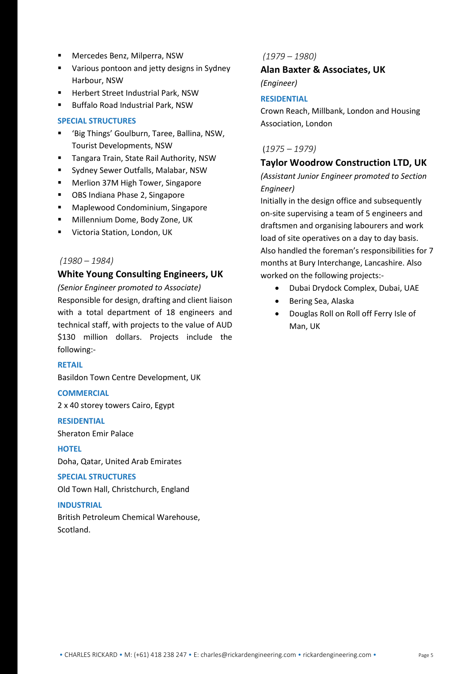- Mercedes Benz, Milperra, NSW
- Various pontoon and jetty designs in Sydney Harbour, NSW
- Herbert Street Industrial Park, NSW
- Buffalo Road Industrial Park, NSW

#### **SPECIAL STRUCTURES**

- 'Big Things' Goulburn, Taree, Ballina, NSW, Tourist Developments, NSW
- Tangara Train, State Rail Authority, NSW
- Sydney Sewer Outfalls, Malabar, NSW
- Merlion 37M High Tower, Singapore
- OBS Indiana Phase 2, Singapore
- Maplewood Condominium, Singapore
- Millennium Dome, Body Zone, UK
- Victoria Station, London, UK

#### *(1980 – 1984)*

#### **White Young Consulting Engineers, UK**

*(Senior Engineer promoted to Associate)* Responsible for design, drafting and client liaison with a total department of 18 engineers and technical staff, with projects to the value of AUD \$130 million dollars. Projects include the following:-

#### **RETAIL**

Basildon Town Centre Development, UK

#### **COMMERCIAL**

2 x 40 storey towers Cairo, Egypt

#### **RESIDENTIAL**

Sheraton Emir Palace

#### **HOTEL**

Doha, Qatar, United Arab Emirates

#### **SPECIAL STRUCTURES**

Old Town Hall, Christchurch, England

#### **INDUSTRIAL**

British Petroleum Chemical Warehouse, Scotland.

#### *(1979 – 1980)*

**Alan Baxter & Associates, UK** 

*(Engineer)*

#### **RESIDENTIAL**

Crown Reach, Millbank, London and Housing Association, London

#### (*1975 – 1979)*

#### **Taylor Woodrow Construction LTD, UK**

*(Assistant Junior Engineer promoted to Section Engineer)*

Initially in the design office and subsequently on-site supervising a team of 5 engineers and draftsmen and organising labourers and work load of site operatives on a day to day basis. Also handled the foreman's responsibilities for 7 months at Bury Interchange, Lancashire. Also worked on the following projects:-

- Dubai Drydock Complex, Dubai, UAE
- Bering Sea, Alaska
- Douglas Roll on Roll off Ferry Isle of Man, UK